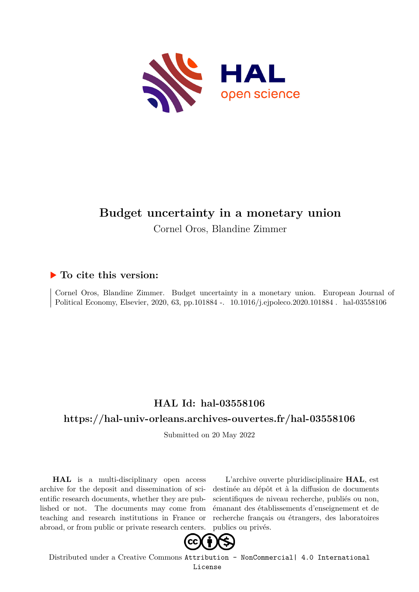

# **Budget uncertainty in a monetary union**

Cornel Oros, Blandine Zimmer

## **To cite this version:**

Cornel Oros, Blandine Zimmer. Budget uncertainty in a monetary union. European Journal of Political Economy, Elsevier, 2020, 63, pp.101884 -. 10.1016/j.ejpoleco.2020.101884 . hal-03558106

## **HAL Id: hal-03558106**

### **<https://hal-univ-orleans.archives-ouvertes.fr/hal-03558106>**

Submitted on 20 May 2022

**HAL** is a multi-disciplinary open access archive for the deposit and dissemination of scientific research documents, whether they are published or not. The documents may come from teaching and research institutions in France or abroad, or from public or private research centers.

L'archive ouverte pluridisciplinaire **HAL**, est destinée au dépôt et à la diffusion de documents scientifiques de niveau recherche, publiés ou non, émanant des établissements d'enseignement et de recherche français ou étrangers, des laboratoires publics ou privés.



Distributed under a Creative Commons [Attribution - NonCommercial| 4.0 International](http://creativecommons.org/licenses/by-nc/4.0/) [License](http://creativecommons.org/licenses/by-nc/4.0/)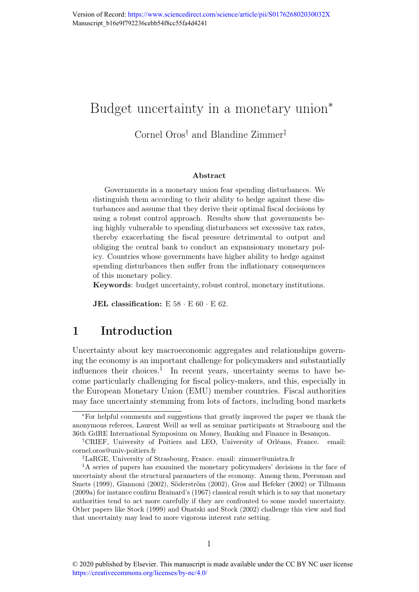# Budget uncertainty in a monetary union<sup>\*</sup>

## Cornel Oros† and Blandine Zimmer‡

#### Abstract

Governments in a monetary union fear spending disturbances. We distinguish them according to their ability to hedge against these disturbances and assume that they derive their optimal fiscal decisions by using a robust control approach. Results show that governments being highly vulnerable to spending disturbances set excessive tax rates, thereby exacerbating the fiscal pressure detrimental to output and obliging the central bank to conduct an expansionary monetary policy. Countries whose governments have higher ability to hedge against spending disturbances then suffer from the inflationary consequences of this monetary policy.

Keywords: budget uncertainty, robust control, monetary institutions.

JEL classification:  $E 58 \cdot E 60 \cdot E 62$ .

## 1 Introduction

Uncertainty about key macroeconomic aggregates and relationships governing the economy is an important challenge for policymakers and substantially influences their choices.<sup>1</sup> In recent years, uncertainty seems to have become particularly challenging for fiscal policy-makers, and this, especially in the European Monetary Union (EMU) member countries. Fiscal authorities may face uncertainty stemming from lots of factors, including bond markets

<sup>∗</sup>For helpful comments and suggestions that greatly improved the paper we thank the anonymous referees, Laurent Weill as well as seminar participants at Strasbourg and the 36th GdRE International Symposium on Money, Banking and Finance in Besançon.

<sup>†</sup>CRIEF, University of Poitiers and LEO, University of Orléans, France. email: cornel.oros@univ-poitiers.fr

<sup>‡</sup>LaRGE, University of Strasbourg, France. email: zimmer@unistra.fr

<sup>1</sup>A series of papers has examined the monetary policymakers' decisions in the face of uncertainty about the structural parameters of the economy. Among them, Peersman and Smets (1999), Giannoni (2002), Söderström (2002), Gros and Hefeker (2002) or Tillmann (2009a) for instance confirm Brainard's (1967) classical result which is to say that monetary authorities tend to act more carefully if they are confronted to some model uncertainty. Other papers like Stock (1999) and Onatski and Stock (2002) challenge this view and find that uncertainty may lead to more vigorous interest rate setting.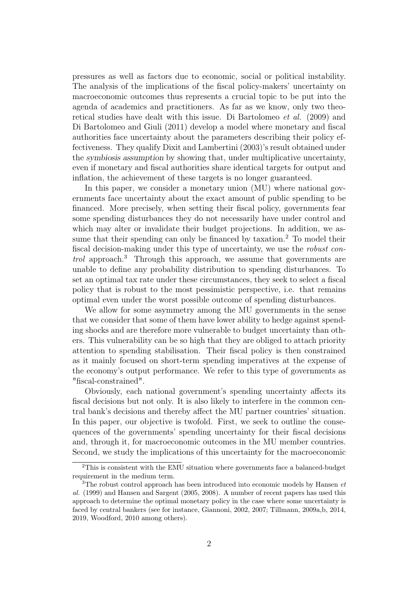pressures as well as factors due to economic, social or political instability. The analysis of the implications of the fiscal policy-makers' uncertainty on macroeconomic outcomes thus represents a crucial topic to be put into the agenda of academics and practitioners. As far as we know, only two theoretical studies have dealt with this issue. Di Bartolomeo et al. (2009) and Di Bartolomeo and Giuli (2011) develop a model where monetary and fiscal authorities face uncertainty about the parameters describing their policy effectiveness. They qualify Dixit and Lambertini (2003)'s result obtained under the symbiosis assumption by showing that, under multiplicative uncertainty, even if monetary and fiscal authorities share identical targets for output and inflation, the achievement of these targets is no longer guaranteed.

In this paper, we consider a monetary union (MU) where national governments face uncertainty about the exact amount of public spending to be financed. More precisely, when setting their fiscal policy, governments fear some spending disturbances they do not necessarily have under control and which may alter or invalidate their budget projections. In addition, we assume that their spending can only be financed by taxation.<sup>2</sup> To model their fiscal decision-making under this type of uncertainty, we use the robust control approach.<sup>3</sup> Through this approach, we assume that governments are unable to define any probability distribution to spending disturbances. To set an optimal tax rate under these circumstances, they seek to select a fiscal policy that is robust to the most pessimistic perspective, i.e. that remains optimal even under the worst possible outcome of spending disturbances.

We allow for some asymmetry among the MU governments in the sense that we consider that some of them have lower ability to hedge against spending shocks and are therefore more vulnerable to budget uncertainty than others. This vulnerability can be so high that they are obliged to attach priority attention to spending stabilisation. Their fiscal policy is then constrained as it mainly focused on short-term spending imperatives at the expense of the economy's output performance. We refer to this type of governments as "fiscal-constrained".

Obviously, each national government's spending uncertainty affects its fiscal decisions but not only. It is also likely to interfere in the common central bank's decisions and thereby affect the MU partner countries' situation. In this paper, our objective is twofold. First, we seek to outline the consequences of the governments' spending uncertainty for their fiscal decisions and, through it, for macroeconomic outcomes in the MU member countries. Second, we study the implications of this uncertainty for the macroeconomic

<sup>2</sup>This is consistent with the EMU situation where governments face a balanced-budget requirement in the medium term.

 $3$ The robust control approach has been introduced into economic models by Hansen  $et$ al. (1999) and Hansen and Sargent (2005, 2008). A number of recent papers has used this approach to determine the optimal monetary policy in the case where some uncertainty is faced by central bankers (see for instance, Giannoni, 2002, 2007; Tillmann, 2009a,b, 2014, 2019, Woodford, 2010 among others).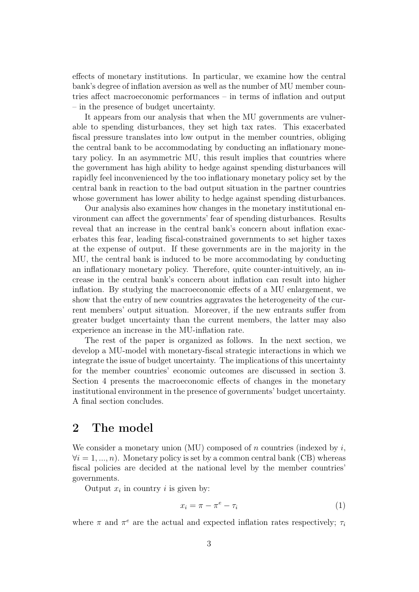effects of monetary institutions. In particular, we examine how the central bank's degree of inflation aversion as well as the number of MU member countries affect macroeconomic performances – in terms of inflation and output – in the presence of budget uncertainty.

It appears from our analysis that when the MU governments are vulnerable to spending disturbances, they set high tax rates. This exacerbated fiscal pressure translates into low output in the member countries, obliging the central bank to be accommodating by conducting an inflationary monetary policy. In an asymmetric MU, this result implies that countries where the government has high ability to hedge against spending disturbances will rapidly feel inconvenienced by the too inflationary monetary policy set by the central bank in reaction to the bad output situation in the partner countries whose government has lower ability to hedge against spending disturbances.

Our analysis also examines how changes in the monetary institutional environment can affect the governments' fear of spending disturbances. Results reveal that an increase in the central bank's concern about inflation exacerbates this fear, leading fiscal-constrained governments to set higher taxes at the expense of output. If these governments are in the majority in the MU, the central bank is induced to be more accommodating by conducting an inflationary monetary policy. Therefore, quite counter-intuitively, an increase in the central bank's concern about inflation can result into higher inflation. By studying the macroeconomic effects of a MU enlargement, we show that the entry of new countries aggravates the heterogeneity of the current members' output situation. Moreover, if the new entrants suffer from greater budget uncertainty than the current members, the latter may also experience an increase in the MU-inflation rate.

The rest of the paper is organized as follows. In the next section, we develop a MU-model with monetary-fiscal strategic interactions in which we integrate the issue of budget uncertainty. The implications of this uncertainty for the member countries' economic outcomes are discussed in section 3. Section 4 presents the macroeconomic effects of changes in the monetary institutional environment in the presence of governments' budget uncertainty. A final section concludes.

### 2 The model

We consider a monetary union (MU) composed of n countries (indexed by  $i$ ,  $\forall i = 1, ..., n$ . Monetary policy is set by a common central bank (CB) whereas fiscal policies are decided at the national level by the member countries' governments.

Output  $x_i$  in country i is given by:

$$
x_i = \pi - \pi^e - \tau_i \tag{1}
$$

where  $\pi$  and  $\pi^e$  are the actual and expected inflation rates respectively;  $\tau_i$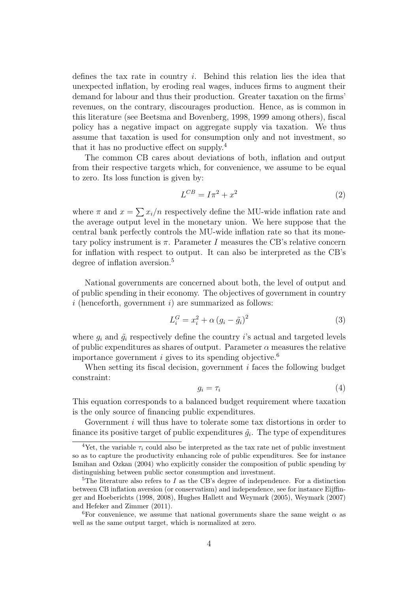defines the tax rate in country i. Behind this relation lies the idea that unexpected inflation, by eroding real wages, induces firms to augment their demand for labour and thus their production. Greater taxation on the firms' revenues, on the contrary, discourages production. Hence, as is common in this literature (see Beetsma and Bovenberg, 1998, 1999 among others), fiscal policy has a negative impact on aggregate supply via taxation. We thus assume that taxation is used for consumption only and not investment, so that it has no productive effect on supply.<sup>4</sup>

The common CB cares about deviations of both, inflation and output from their respective targets which, for convenience, we assume to be equal to zero. Its loss function is given by:

$$
L^{CB} = I\pi^2 + x^2\tag{2}
$$

where  $\pi$  and  $x = \sum x_i/n$  respectively define the MU-wide inflation rate and the average output level in the monetary union. We here suppose that the central bank perfectly controls the MU-wide inflation rate so that its monetary policy instrument is  $\pi$ . Parameter I measures the CB's relative concern for inflation with respect to output. It can also be interpreted as the CB's degree of inflation aversion.<sup>5</sup>

National governments are concerned about both, the level of output and of public spending in their economy. The objectives of government in country  $i$  (henceforth, government  $i$ ) are summarized as follows:

$$
L_i^G = x_i^2 + \alpha (g_i - \tilde{g}_i)^2 \tag{3}
$$

where  $g_i$  and  $\tilde{g}_i$  respectively define the country *i*'s actual and targeted levels of public expenditures as shares of output. Parameter  $\alpha$  measures the relative importance government i gives to its spending objective.<sup>6</sup>

When setting its fiscal decision, government  $i$  faces the following budget constraint:

$$
g_i = \tau_i \tag{4}
$$

This equation corresponds to a balanced budget requirement where taxation is the only source of financing public expenditures.

Government *i* will thus have to tolerate some tax distortions in order to finance its positive target of public expenditures  $\tilde{g}_i$ . The type of expenditures

<sup>&</sup>lt;sup>4</sup>Yet, the variable  $\tau_i$  could also be interpreted as the tax rate net of public investment so as to capture the productivity enhancing role of public expenditures. See for instance Ismihan and Ozkan (2004) who explicitly consider the composition of public spending by distinguishing between public sector consumption and investment.

<sup>&</sup>lt;sup>5</sup>The literature also refers to I as the CB's degree of independence. For a distinction between CB inflation aversion (or conservatism) and independence, see for instance Eijffinger and Hoeberichts (1998, 2008), Hughes Hallett and Weymark (2005), Weymark (2007) and Hefeker and Zimmer (2011).

<sup>&</sup>lt;sup>6</sup>For convenience, we assume that national governments share the same weight  $\alpha$  as well as the same output target, which is normalized at zero.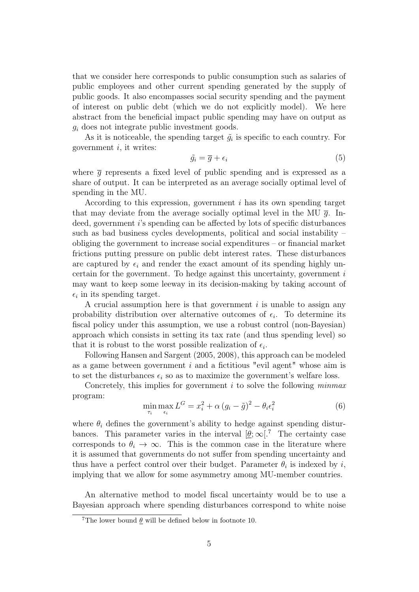that we consider here corresponds to public consumption such as salaries of public employees and other current spending generated by the supply of public goods. It also encompasses social security spending and the payment of interest on public debt (which we do not explicitly model). We here abstract from the beneficial impact public spending may have on output as  $g_i$  does not integrate public investment goods.

As it is noticeable, the spending target  $\tilde{g}_i$  is specific to each country. For government  $i$ , it writes:

$$
\tilde{g}_i = \overline{g} + \epsilon_i \tag{5}
$$

where  $\bar{g}$  represents a fixed level of public spending and is expressed as a share of output. It can be interpreted as an average socially optimal level of spending in the MU.

According to this expression, government  $i$  has its own spending target that may deviate from the average socially optimal level in the MU  $\bar{g}$ . Indeed, government i's spending can be affected by lots of specific disturbances such as bad business cycles developments, political and social instability – obliging the government to increase social expenditures – or financial market frictions putting pressure on public debt interest rates. These disturbances are captured by  $\epsilon_i$  and render the exact amount of its spending highly uncertain for the government. To hedge against this uncertainty, government  $i$ may want to keep some leeway in its decision-making by taking account of  $\epsilon_i$  in its spending target.

A crucial assumption here is that government  $i$  is unable to assign any probability distribution over alternative outcomes of  $\epsilon_i$ . To determine its fiscal policy under this assumption, we use a robust control (non-Bayesian) approach which consists in setting its tax rate (and thus spending level) so that it is robust to the worst possible realization of  $\epsilon_i$ .

Following Hansen and Sargent (2005, 2008), this approach can be modeled as a game between government  $i$  and a fictitious "evil agent" whose aim is to set the disturbances  $\epsilon_i$  so as to maximize the government's welfare loss.

Concretely, this implies for government  $i$  to solve the following *minmax* program:

$$
\min_{\tau_i} \max_{\epsilon_i} L^G = x_i^2 + \alpha (g_i - \tilde{g})^2 - \theta_i \epsilon_i^2 \tag{6}
$$

where  $\theta_i$  defines the government's ability to hedge against spending disturbances. This parameter varies in the interval  $[\underline{\theta}; \infty]$ .<sup>7</sup> The certainty case corresponds to  $\theta_i \to \infty$ . This is the common case in the literature where it is assumed that governments do not suffer from spending uncertainty and thus have a perfect control over their budget. Parameter  $\theta_i$  is indexed by i, implying that we allow for some asymmetry among MU-member countries.

An alternative method to model fiscal uncertainty would be to use a Bayesian approach where spending disturbances correspond to white noise

<sup>&</sup>lt;sup>7</sup>The lower bound  $\theta$  will be defined below in footnote 10.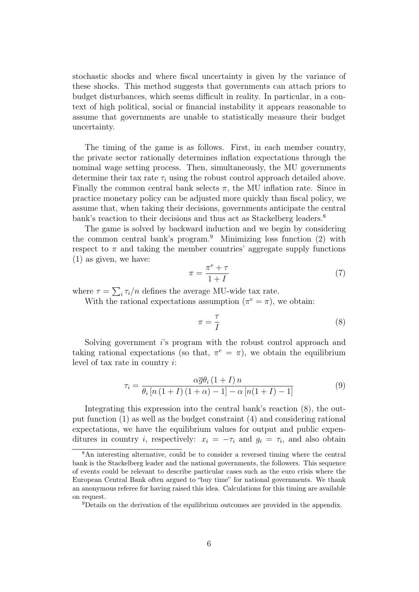stochastic shocks and where fiscal uncertainty is given by the variance of these shocks. This method suggests that governments can attach priors to budget disturbances, which seems difficult in reality. In particular, in a context of high political, social or financial instability it appears reasonable to assume that governments are unable to statistically measure their budget uncertainty.

The timing of the game is as follows. First, in each member country, the private sector rationally determines inflation expectations through the nominal wage setting process. Then, simultaneously, the MU governments determine their tax rate  $\tau_i$  using the robust control approach detailed above. Finally the common central bank selects  $\pi$ , the MU inflation rate. Since in practice monetary policy can be adjusted more quickly than fiscal policy, we assume that, when taking their decisions, governments anticipate the central bank's reaction to their decisions and thus act as Stackelberg leaders.<sup>8</sup>

The game is solved by backward induction and we begin by considering the common central bank's program.<sup>9</sup> Minimizing loss function  $(2)$  with respect to  $\pi$  and taking the member countries' aggregate supply functions (1) as given, we have:

$$
\pi = \frac{\pi^e + \tau}{1 + I} \tag{7}
$$

where  $\tau = \sum_i \tau_i/n$  defines the average MU-wide tax rate.

With the rational expectations assumption  $(\pi^e = \pi)$ , we obtain:

$$
\pi = \frac{\tau}{I} \tag{8}
$$

Solving government *i*'s program with the robust control approach and taking rational expectations (so that,  $\pi^e = \pi$ ), we obtain the equilibrium level of tax rate in country i:

$$
\tau_i = \frac{\alpha \overline{g} \theta_i \left(1+I\right) n}{\theta_i \left[n\left(1+I\right)\left(1+\alpha\right)-1\right] - \alpha \left[n(1+I)-1\right]}
$$
\n(9)

Integrating this expression into the central bank's reaction  $(8)$ , the output function (1) as well as the budget constraint (4) and considering rational expectations, we have the equilibrium values for output and public expenditures in country *i*, respectively:  $x_i = -\tau_i$  and  $g_i = \tau_i$ , and also obtain

<sup>8</sup>An interesting alternative, could be to consider a reversed timing where the central bank is the Stackelberg leader and the national governments, the followers. This sequence of events could be relevant to describe particular cases such as the euro crisis where the European Central Bank often argued to "buy time" for national governments. We thank an anonymous referee for having raised this idea. Calculations for this timing are available on request.

<sup>9</sup>Details on the derivation of the equilibrium outcomes are provided in the appendix.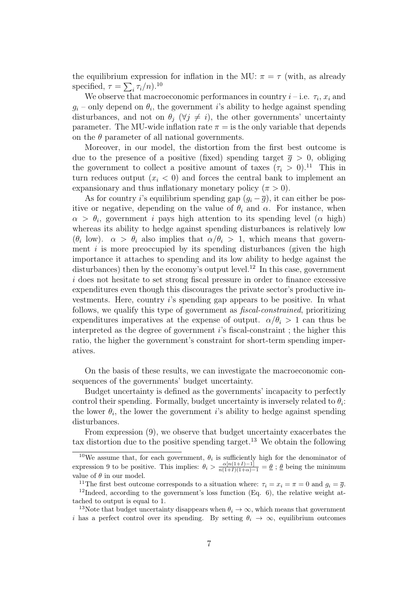the equilibrium expression for inflation in the MU:  $\pi = \tau$  (with, as already specified,  $\tau = \sum_i \tau_i/n$ ).<sup>10</sup>

We observe that macroeconomic performances in country  $i$  – i.e.  $\tau_i$ ,  $x_i$  and  $g_i$  – only depend on  $\theta_i$ , the government *i*'s ability to hedge against spending disturbances, and not on  $\theta_i$  ( $\forall j \neq i$ ), the other governments' uncertainty parameter. The MU-wide inflation rate  $\pi = i$  is the only variable that depends on the  $\theta$  parameter of all national governments.

Moreover, in our model, the distortion from the first best outcome is due to the presence of a positive (fixed) spending target  $\bar{g} > 0$ , obliging the government to collect a positive amount of taxes  $(\tau_i > 0)^{11}$ . This in turn reduces output  $(x_i < 0)$  and forces the central bank to implement an expansionary and thus inflationary monetary policy ( $\pi > 0$ ).

As for country i's equilibrium spending gap  $(q_i - \overline{q})$ , it can either be positive or negative, depending on the value of  $\theta_i$  and  $\alpha$ . For instance, when  $\alpha > \theta_i$ , government i pays high attention to its spending level ( $\alpha$  high) whereas its ability to hedge against spending disturbances is relatively low  $(\theta_i \text{ low})$ .  $\alpha > \theta_i$  also implies that  $\alpha/\theta_i > 1$ , which means that government  $i$  is more preoccupied by its spending disturbances (given the high importance it attaches to spending and its low ability to hedge against the disturbances) then by the economy's output level.<sup>12</sup> In this case, government i does not hesitate to set strong fiscal pressure in order to finance excessive expenditures even though this discourages the private sector's productive investments. Here, country i's spending gap appears to be positive. In what follows, we qualify this type of government as fiscal-constrained, prioritizing expenditures imperatives at the expense of output.  $\alpha/\theta_i > 1$  can thus be interpreted as the degree of government i's fiscal-constraint ; the higher this ratio, the higher the government's constraint for short-term spending imperatives.

On the basis of these results, we can investigate the macroeconomic consequences of the governments' budget uncertainty.

Budget uncertainty is defined as the governments' incapacity to perfectly control their spending. Formally, budget uncertainty is inversely related to  $\theta_i$ : the lower  $\theta_i$ , the lower the government *i*'s ability to hedge against spending disturbances.

From expression (9), we observe that budget uncertainty exacerbates the tax distortion due to the positive spending target.<sup>13</sup> We obtain the following

<sup>&</sup>lt;sup>10</sup>We assume that, for each government,  $\theta_i$  is sufficiently high for the denominator of expression 9 to be positive. This implies:  $\theta_i > \frac{\alpha[n(1+I)-1]}{n(1+I)(1+\alpha)-1} = \underline{\theta}$ ;  $\underline{\theta}$  being the minimum value of  $\theta$  in our model.

<sup>&</sup>lt;sup>11</sup>The first best outcome corresponds to a situation where:  $\tau_i = x_i = \pi = 0$  and  $g_i = \overline{g}$ .

<sup>&</sup>lt;sup>12</sup>Indeed, according to the government's loss function (Eq. 6), the relative weight attached to output is equal to 1.

<sup>&</sup>lt;sup>13</sup>Note that budget uncertainty disappears when  $\theta_i \to \infty$ , which means that government i has a perfect control over its spending. By setting  $\theta_i \to \infty$ , equilibrium outcomes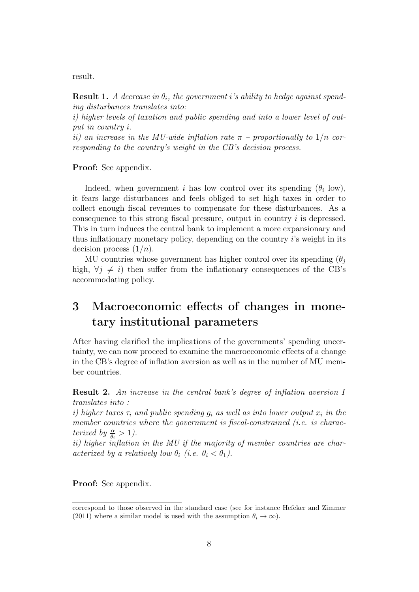result.

**Result 1.** A decrease in  $\theta_i$ , the government i's ability to hedge against spending disturbances translates into:

i) higher levels of taxation and public spending and into a lower level of output in country i.

ii) an increase in the MU-wide inflation rate  $\pi$  – proportionally to  $1/n$  corresponding to the country's weight in the CB's decision process.

Proof: See appendix.

Indeed, when government i has low control over its spending  $(\theta_i \text{ low})$ , it fears large disturbances and feels obliged to set high taxes in order to collect enough fiscal revenues to compensate for these disturbances. As a consequence to this strong fiscal pressure, output in country  $i$  is depressed. This in turn induces the central bank to implement a more expansionary and thus inflationary monetary policy, depending on the country  $i$ 's weight in its decision process  $(1/n)$ .

MU countries whose government has higher control over its spending  $(\theta_i)$ high,  $\forall j \neq i$ ) then suffer from the inflationary consequences of the CB's accommodating policy.

# 3 Macroeconomic effects of changes in monetary institutional parameters

After having clarified the implications of the governments' spending uncertainty, we can now proceed to examine the macroeconomic effects of a change in the CB's degree of inflation aversion as well as in the number of MU member countries.

Result 2. An increase in the central bank's degree of inflation aversion I translates into :

i) higher taxes  $\tau_i$  and public spending  $g_i$  as well as into lower output  $x_i$  in the member countries where the government is fiscal-constrained (i.e. is characterized by  $\frac{\alpha}{\theta_i} > 1$ ).

ii) higher inflation in the MU if the majority of member countries are characterized by a relatively low  $\theta_i$  (i.e.  $\theta_i < \theta_1$ ).

Proof: See appendix.

correspond to those observed in the standard case (see for instance Hefeker and Zimmer (2011) where a similar model is used with the assumption  $\theta_i \to \infty$ ).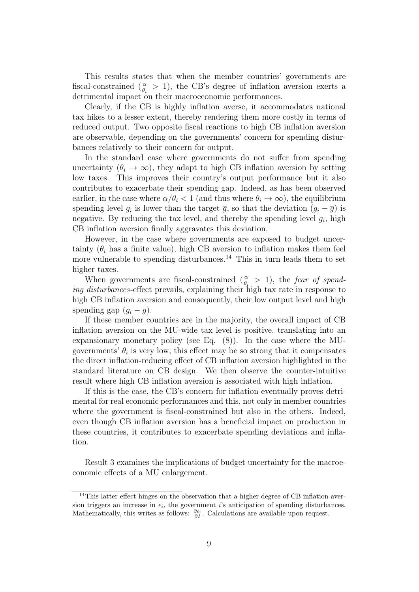This results states that when the member countries' governments are fiscal-constrained  $(\frac{\alpha}{\theta_i} > 1)$ , the CB's degree of inflation aversion exerts a detrimental impact on their macroeconomic performances.

Clearly, if the CB is highly inflation averse, it accommodates national tax hikes to a lesser extent, thereby rendering them more costly in terms of reduced output. Two opposite fiscal reactions to high CB inflation aversion are observable, depending on the governments' concern for spending disturbances relatively to their concern for output.

In the standard case where governments do not suffer from spending uncertainty  $(\theta_i \to \infty)$ , they adapt to high CB inflation aversion by setting low taxes. This improves their country's output performance but it also contributes to exacerbate their spending gap. Indeed, as has been observed earlier, in the case where  $\alpha/\theta_i < 1$  (and thus where  $\theta_i \to \infty$ ), the equilibrium spending level  $g_i$  is lower than the target  $\overline{g}$ , so that the deviation  $(g_i - \overline{g})$  is negative. By reducing the tax level, and thereby the spending level  $g_i$ , high CB inflation aversion finally aggravates this deviation.

However, in the case where governments are exposed to budget uncertainty ( $\theta_i$  has a finite value), high CB aversion to inflation makes them feel more vulnerable to spending disturbances.<sup>14</sup> This in turn leads them to set higher taxes.

When governments are fiscal-constrained  $(\frac{\alpha}{\theta_i} > 1)$ , the fear of spending disturbances-effect prevails, explaining their high tax rate in response to high CB inflation aversion and consequently, their low output level and high spending gap  $(g_i - \overline{g})$ .

If these member countries are in the majority, the overall impact of CB inflation aversion on the MU-wide tax level is positive, translating into an expansionary monetary policy (see Eq. (8)). In the case where the MUgovernments'  $\theta_i$  is very low, this effect may be so strong that it compensates the direct inflation-reducing effect of CB inflation aversion highlighted in the standard literature on CB design. We then observe the counter-intuitive result where high CB inflation aversion is associated with high inflation.

If this is the case, the CB's concern for inflation eventually proves detrimental for real economic performances and this, not only in member countries where the government is fiscal-constrained but also in the others. Indeed, even though CB inflation aversion has a beneficial impact on production in these countries, it contributes to exacerbate spending deviations and inflation.

Result 3 examines the implications of budget uncertainty for the macroeconomic effects of a MU enlargement.

<sup>&</sup>lt;sup>14</sup>This latter effect hinges on the observation that a higher degree of CB inflation aversion triggers an increase in  $\epsilon_i$ , the government i's anticipation of spending disturbances. Mathematically, this writes as follows:  $\frac{\partial \epsilon_i}{\partial I}$ . Calculations are available upon request.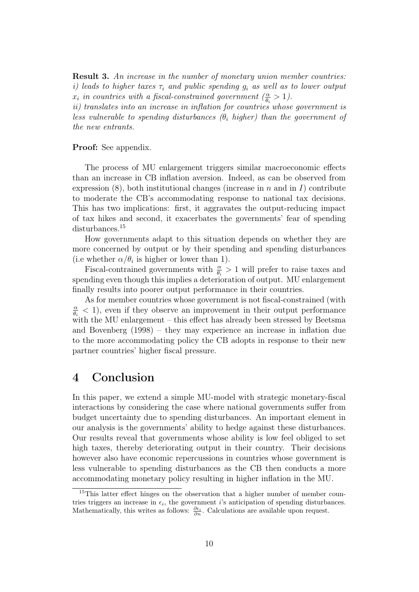Result 3. An increase in the number of monetary union member countries: i) leads to higher taxes  $\tau_i$  and public spending  $g_i$  as well as to lower output  $x_i$  in countries with a fiscal-constrained government  $(\frac{\alpha}{\theta_i} > 1)$ .

ii) translates into an increase in inflation for countries whose government is less vulnerable to spending disturbances  $(\theta_i)$  higher) than the government of the new entrants.

### Proof: See appendix.

The process of MU enlargement triggers similar macroeconomic effects than an increase in CB inflation aversion. Indeed, as can be observed from expression  $(8)$ , both institutional changes (increase in n and in I) contribute to moderate the CB's accommodating response to national tax decisions. This has two implications: first, it aggravates the output-reducing impact of tax hikes and second, it exacerbates the governments' fear of spending disturbances.<sup>15</sup>

How governments adapt to this situation depends on whether they are more concerned by output or by their spending and spending disturbances (i.e whether  $\alpha/\theta_i$  is higher or lower than 1).

Fiscal-contrained governments with  $\frac{\alpha}{\theta_i} > 1$  will prefer to raise taxes and spending even though this implies a deterioration of output. MU enlargement finally results into poorer output performance in their countries.

As for member countries whose government is not fiscal-constrained (with α  $\frac{\alpha}{\theta_i}$  < 1), even if they observe an improvement in their output performance with the MU enlargement – this effect has already been stressed by Beetsma and Bovenberg (1998) – they may experience an increase in inflation due to the more accommodating policy the CB adopts in response to their new partner countries' higher fiscal pressure.

### 4 Conclusion

In this paper, we extend a simple MU-model with strategic monetary-fiscal interactions by considering the case where national governments suffer from budget uncertainty due to spending disturbances. An important element in our analysis is the governments' ability to hedge against these disturbances. Our results reveal that governments whose ability is low feel obliged to set high taxes, thereby deteriorating output in their country. Their decisions however also have economic repercussions in countries whose government is less vulnerable to spending disturbances as the CB then conducts a more accommodating monetary policy resulting in higher inflation in the MU.

<sup>&</sup>lt;sup>15</sup>This latter effect hinges on the observation that a higher number of member countries triggers an increase in  $\epsilon_i$ , the government i's anticipation of spending disturbances. Mathematically, this writes as follows:  $\frac{\partial \epsilon_i}{\partial n}$ . Calculations are available upon request.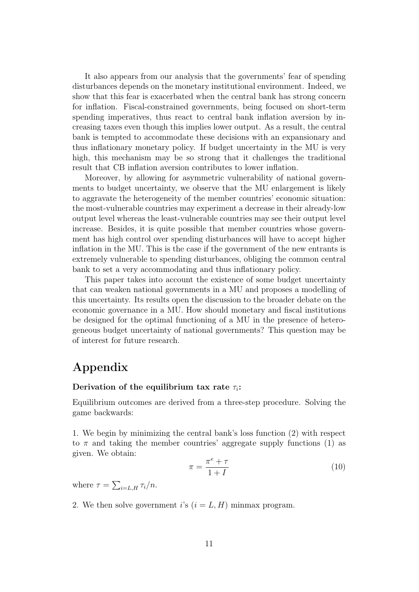It also appears from our analysis that the governments' fear of spending disturbances depends on the monetary institutional environment. Indeed, we show that this fear is exacerbated when the central bank has strong concern for inflation. Fiscal-constrained governments, being focused on short-term spending imperatives, thus react to central bank inflation aversion by increasing taxes even though this implies lower output. As a result, the central bank is tempted to accommodate these decisions with an expansionary and thus inflationary monetary policy. If budget uncertainty in the MU is very high, this mechanism may be so strong that it challenges the traditional result that CB inflation aversion contributes to lower inflation.

Moreover, by allowing for asymmetric vulnerability of national governments to budget uncertainty, we observe that the MU enlargement is likely to aggravate the heterogeneity of the member countries' economic situation: the most-vulnerable countries may experiment a decrease in their already-low output level whereas the least-vulnerable countries may see their output level increase. Besides, it is quite possible that member countries whose government has high control over spending disturbances will have to accept higher inflation in the MU. This is the case if the government of the new entrants is extremely vulnerable to spending disturbances, obliging the common central bank to set a very accommodating and thus inflationary policy.

This paper takes into account the existence of some budget uncertainty that can weaken national governments in a MU and proposes a modelling of this uncertainty. Its results open the discussion to the broader debate on the economic governance in a MU. How should monetary and fiscal institutions be designed for the optimal functioning of a MU in the presence of heterogeneous budget uncertainty of national governments? This question may be of interest for future research.

## Appendix

### Derivation of the equilibrium tax rate  $\tau_i$ :

Equilibrium outcomes are derived from a three-step procedure. Solving the game backwards:

1. We begin by minimizing the central bank's loss function (2) with respect to  $\pi$  and taking the member countries' aggregate supply functions (1) as given. We obtain:

$$
\pi = \frac{\pi^e + \tau}{1 + I} \tag{10}
$$

where  $\tau = \sum_{i=L,H} \tau_i/n$ .

2. We then solve government i's  $(i = L, H)$  minmax program.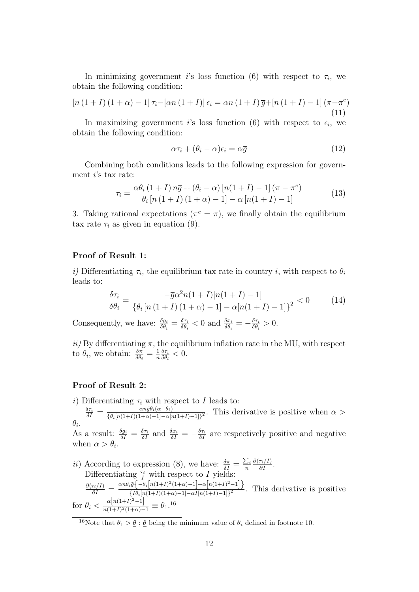In minimizing government is loss function (6) with respect to  $\tau_i$ , we obtain the following condition:

$$
\left[n\left(1+I\right)\left(1+\alpha\right)-1\right]\tau_{i}-\left[\alpha n\left(1+I\right)\right]\epsilon_{i}=\alpha n\left(1+I\right)\overline{g}+\left[n\left(1+I\right)-1\right]\left(\pi-\pi^{e}\right)\tag{11}
$$

In maximizing government i's loss function (6) with respect to  $\epsilon_i$ , we obtain the following condition:

$$
\alpha \tau_i + (\theta_i - \alpha)\epsilon_i = \alpha \overline{g} \tag{12}
$$

Combining both conditions leads to the following expression for government i's tax rate:

$$
\tau_i = \frac{\alpha \theta_i \left(1 + I\right) n\overline{g} + \left(\theta_i - \alpha\right) \left[n(1 + I) - 1\right] \left(\pi - \pi^e\right)}{\theta_i \left[n\left(1 + I\right)\left(1 + \alpha\right) - 1\right] - \alpha \left[n(1 + I) - 1\right]}
$$
(13)

3. Taking rational expectations ( $\pi^e = \pi$ ), we finally obtain the equilibrium tax rate  $\tau_i$  as given in equation (9).

### Proof of Result 1:

i) Differentiating  $\tau_i$ , the equilibrium tax rate in country i, with respect to  $\theta_i$ leads to:

$$
\frac{\delta \tau_i}{\delta \theta_i} = \frac{-\overline{g} \alpha^2 n (1+I) [n(1+I) - 1]}{\{\theta_i [n (1+I) (1+\alpha) - 1] - \alpha [n(1+I) - 1]\}^2} < 0 \tag{14}
$$

Consequently, we have:  $\frac{\delta g_i}{\delta \theta_i} = \frac{\delta \tau_i}{\delta \theta_i}$  $\frac{\delta \tau_i}{\delta \theta_i} < 0$  and  $\frac{\delta x_i}{\delta \theta_i} = -\frac{\delta \tau_i}{\delta \theta_i}$  $\frac{\partial \tau_i}{\partial \theta_i} > 0.$ 

 $ii)$  By differentiating  $\pi$ , the equilibrium inflation rate in the MU, with respect to  $\theta_i$ , we obtain:  $\frac{\delta \pi}{\delta \theta_i} = \frac{1}{n}$ n  $\delta \tau_i$  $\frac{\partial \tau_i}{\partial \theta_i} < 0.$ 

### Proof of Result 2:

i) Differentiating  $\tau_i$  with respect to I leads to:

 $\frac{\delta \tau_i}{\delta I} = \frac{\alpha n \tilde{g} \theta_i (\alpha - \theta_i)}{\{\theta_i [n(1+I)(1+\alpha)-1]-\alpha[n]} }$  $\frac{\alpha n g \theta_i(\alpha - \theta_i)}{\{\theta_i[n(1+I)(1+\alpha)-1]-\alpha[n(1+I)-1]\}^2}$ . This derivative is positive when  $\alpha >$  $\theta_i$ .

As a result:  $\frac{\delta g_i}{\delta I} = \frac{\delta \tau_i}{\delta I}$  and  $\frac{\delta x_i}{\delta I} = -\frac{\delta \tau_i}{\delta I}$  are respectively positive and negative when  $\alpha > \theta_i$ .

*ii*) According to expression (8), we have:  $\frac{\delta \pi}{\delta I} = \frac{\sum_i}{n}$  $\frac{\partial (\tau_i/I)}{\partial I}$ . Differentiating  $\frac{\tau_i}{I}$  with respect to I yields:  $\frac{\partial(\tau_i/I)}{\partial I} = \frac{\alpha n \theta_i \tilde{g} \left\{-\theta_i \left[n(1+I)^2(1+\alpha)-1\right]+\alpha \left[n(1+I)^2-1\right]\right\}}{\left\{I\theta_i[n(1+I)(1+\alpha)-1]-\alpha I[n(1+I)-1]\right\}^2}$  $\frac{\{I\}_{i}[n(1+I)(1+\alpha)-1]-\alpha I[n(1+I)-1]\}}{\{I\}_{i}[n(1+I)(1+\alpha)-1]-\alpha I[n(1+I)-1]\}}$ . This derivative is positive for  $\theta_i < \frac{\alpha [n(1+I)^2 - 1]}{n(1+I)^2(1+\alpha)}$  $\frac{\alpha[n(1+1)-1]}{n(1+1)^2(1+\alpha)-1} \equiv \theta_1$ .<sup>16</sup>

<sup>&</sup>lt;sup>16</sup>Note that  $\theta_1 > \underline{\theta}$ ; <u> $\underline{\theta}$ </u> being the minimum value of  $\theta_i$  defined in footnote 10.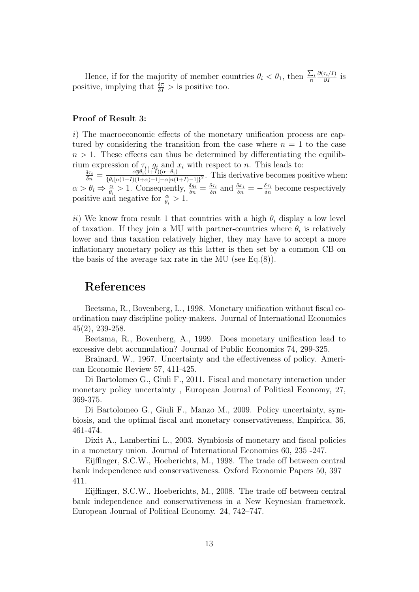Hence, if for the majority of member countries  $\theta_i < \theta_1$ , then  $\frac{\sum_i}{n}$  $\frac{\partial (\tau_i/I)}{\partial I}$  is positive, implying that  $\frac{\delta \pi}{\delta I} >$  is positive too.

### Proof of Result 3:

i) The macroeconomic effects of the monetary unification process are captured by considering the transition from the case where  $n = 1$  to the case  $n > 1$ . These effects can thus be determined by differentiating the equilibrium expression of  $\tau_i$ ,  $g_i$  and  $x_i$  with respect to n. This leads to:

 $\frac{\delta \tau_i}{\delta n} = \frac{\alpha \overline{g} \theta_i (1+I)(\alpha - \theta_i)}{\{\theta_i [n(1+I)(1+\alpha)-1] - \alpha [n(1+\alpha)]}$  $\frac{\alpha g \theta_{i}(1+I)(\alpha - \theta_{i})}{\{\theta_{i}[n(1+I)(1+\alpha)-1]-\alpha[n(1+I)-1]\}^2}$ . This derivative becomes positive when:  $\alpha > \theta_i \Rightarrow \frac{\alpha}{\theta_i} > 1$ . Consequently,  $\frac{\delta g_i}{\delta n} = \frac{\delta \tau_i}{\delta n}$  and  $\frac{\delta x_i}{\delta n} = -\frac{\delta \tau_i}{\delta n}$  become respectively positive and negative for  $\frac{\alpha}{\theta_i} > 1$ .

ii) We know from result 1 that countries with a high  $\theta_i$  display a low level of taxation. If they join a MU with partner-countries where  $\theta_i$  is relatively lower and thus taxation relatively higher, they may have to accept a more inflationary monetary policy as this latter is then set by a common CB on the basis of the average tax rate in the MU (see Eq.(8)).

## References

Beetsma, R., Bovenberg, L., 1998. Monetary unification without fiscal coordination may discipline policy-makers. Journal of International Economics 45(2), 239-258.

Beetsma, R., Bovenberg, A., 1999. Does monetary unification lead to excessive debt accumulation? Journal of Public Economics 74, 299-325.

Brainard, W., 1967. Uncertainty and the effectiveness of policy. American Economic Review 57, 411-425.

Di Bartolomeo G., Giuli F., 2011. Fiscal and monetary interaction under monetary policy uncertainty , European Journal of Political Economy, 27, 369-375.

Di Bartolomeo G., Giuli F., Manzo M., 2009. Policy uncertainty, symbiosis, and the optimal fiscal and monetary conservativeness, Empirica, 36, 461-474.

Dixit A., Lambertini L., 2003. Symbiosis of monetary and fiscal policies in a monetary union. Journal of International Economics 60, 235 -247.

Eijffinger, S.C.W., Hoeberichts, M., 1998. The trade off between central bank independence and conservativeness. Oxford Economic Papers 50, 397– 411.

Eijffinger, S.C.W., Hoeberichts, M., 2008. The trade off between central bank independence and conservativeness in a New Keynesian framework. European Journal of Political Economy. 24, 742–747.